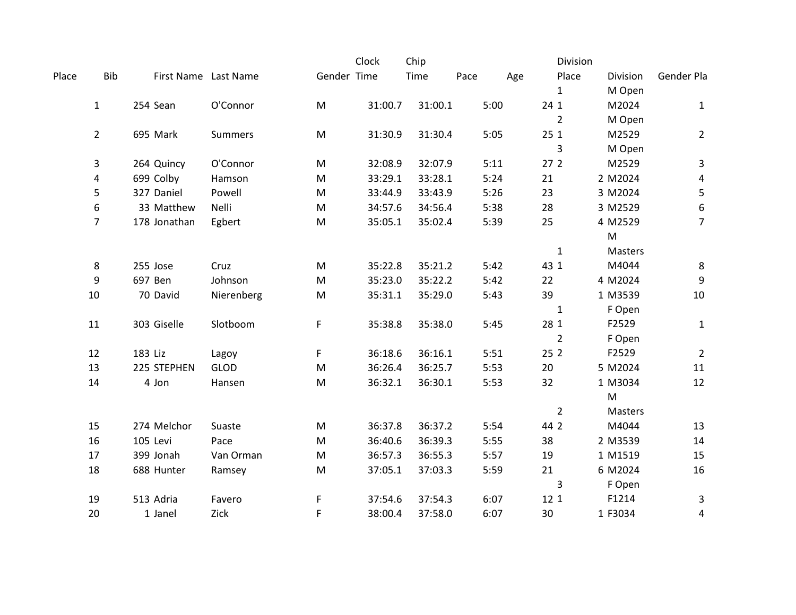|       |                |                      |             |             | Clock   | Chip    |      |      | Division        |                |                |
|-------|----------------|----------------------|-------------|-------------|---------|---------|------|------|-----------------|----------------|----------------|
| Place | <b>Bib</b>     | First Name Last Name |             | Gender Time |         | Time    | Pace | Age  | Place           | Division       | Gender Pla     |
|       |                |                      |             |             |         |         |      |      | $\mathbf{1}$    | M Open         |                |
|       | $\mathbf{1}$   | 254 Sean             | O'Connor    | ${\sf M}$   | 31:00.7 | 31:00.1 |      | 5:00 | 24 1            | M2024          | $\mathbf{1}$   |
|       |                |                      |             |             |         |         |      |      | $\overline{2}$  | M Open         |                |
|       | $\overline{2}$ | 695 Mark             | Summers     | M           | 31:30.9 | 31:30.4 |      | 5:05 | 251             | M2529          | $\overline{2}$ |
|       |                |                      |             |             |         |         |      |      | 3               | M Open         |                |
|       | 3              | 264 Quincy           | O'Connor    | M           | 32:08.9 | 32:07.9 |      | 5:11 | 27 <sub>2</sub> | M2529          | 3              |
|       | 4              | 699 Colby            | Hamson      | M           | 33:29.1 | 33:28.1 |      | 5:24 | 21              | 2 M2024        | 4              |
|       | 5              | 327 Daniel           | Powell      | M           | 33:44.9 | 33:43.9 |      | 5:26 | 23              | 3 M2024        | 5              |
|       | 6              | 33 Matthew           | Nelli       | M           | 34:57.6 | 34:56.4 |      | 5:38 | 28              | 3 M2529        | 6              |
|       | $\overline{7}$ | 178 Jonathan         | Egbert      | M           | 35:05.1 | 35:02.4 |      | 5:39 | 25              | 4 M2529        | $\overline{7}$ |
|       |                |                      |             |             |         |         |      |      |                 | ${\sf M}$      |                |
|       |                |                      |             |             |         |         |      |      | $\mathbf{1}$    | Masters        |                |
|       | 8              | 255 Jose             | Cruz        | M           | 35:22.8 | 35:21.2 |      | 5:42 | 43 1            | M4044          | 8              |
|       | 9              | 697 Ben              | Johnson     | M           | 35:23.0 | 35:22.2 |      | 5:42 | 22              | 4 M2024        | 9              |
|       | 10             | 70 David             | Nierenberg  | M           | 35:31.1 | 35:29.0 |      | 5:43 | 39              | 1 M3539        | 10             |
|       |                |                      |             |             |         |         |      |      | $\mathbf{1}$    | F Open         |                |
|       | 11             | 303 Giselle          | Slotboom    | F           | 35:38.8 | 35:38.0 |      | 5:45 | 28 1            | F2529          | $\mathbf{1}$   |
|       |                |                      |             |             |         |         |      |      | $\overline{2}$  | F Open         |                |
|       | 12             | 183 Liz              | Lagoy       | F           | 36:18.6 | 36:16.1 |      | 5:51 | 25 2            | F2529          | $\overline{2}$ |
|       | 13             | 225 STEPHEN          | <b>GLOD</b> | ${\sf M}$   | 36:26.4 | 36:25.7 |      | 5:53 | 20              | 5 M2024        | 11             |
|       | 14             | 4 Jon                | Hansen      | M           | 36:32.1 | 36:30.1 |      | 5:53 | 32              | 1 M3034        | 12             |
|       |                |                      |             |             |         |         |      |      |                 | ${\sf M}$      |                |
|       |                |                      |             |             |         |         |      |      | $\overline{2}$  | <b>Masters</b> |                |
|       | 15             | 274 Melchor          | Suaste      | M           | 36:37.8 | 36:37.2 |      | 5:54 | 44 2            | M4044          | 13             |
|       | 16             | 105 Levi             | Pace        | M           | 36:40.6 | 36:39.3 |      | 5:55 | 38              | 2 M3539        | 14             |
|       | 17             | 399 Jonah            | Van Orman   | M           | 36:57.3 | 36:55.3 |      | 5:57 | 19              | 1 M1519        | 15             |
|       | 18             | 688 Hunter           | Ramsey      | M           | 37:05.1 | 37:03.3 |      | 5:59 | 21              | 6 M2024        | 16             |
|       |                |                      |             |             |         |         |      |      | 3               | F Open         |                |
|       | 19             | 513 Adria            | Favero      | F           | 37:54.6 | 37:54.3 |      | 6:07 | 12 1            | F1214          | 3              |
|       | 20             | 1 Janel              | Zick        | F           | 38:00.4 | 37:58.0 |      | 6:07 | 30              | 1 F3034        | 4              |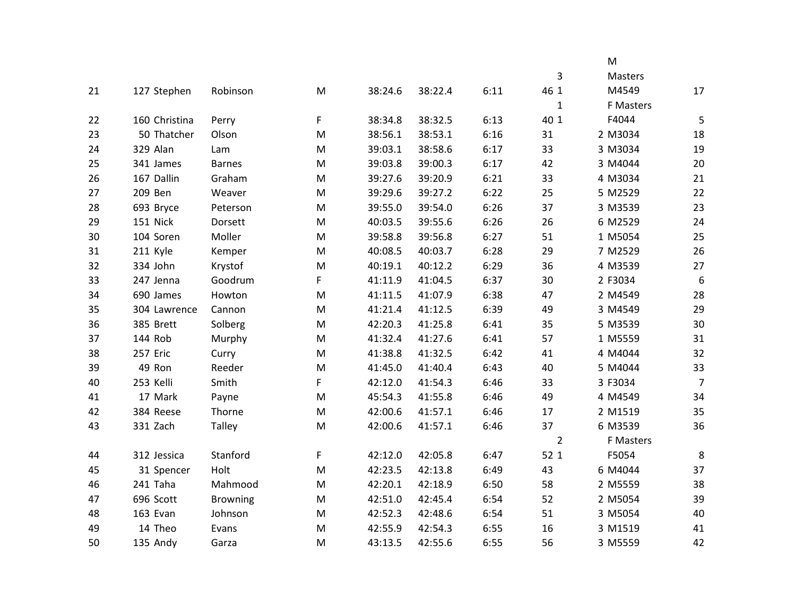|    |               |                 |   |         |         |      |                | M         |                  |
|----|---------------|-----------------|---|---------|---------|------|----------------|-----------|------------------|
|    |               |                 |   |         |         |      | 3              | Masters   |                  |
| 21 | 127 Stephen   | Robinson        | M | 38:24.6 | 38:22.4 | 6:11 | 46 1           | M4549     | 17               |
|    |               |                 |   |         |         |      | $\mathbf{1}$   | F Masters |                  |
| 22 | 160 Christina | Perry           | F | 38:34.8 | 38:32.5 | 6:13 | 40 1           | F4044     | 5                |
| 23 | 50 Thatcher   | Olson           | M | 38:56.1 | 38:53.1 | 6:16 | 31             | 2 M3034   | $18\,$           |
| 24 | 329 Alan      | Lam             | M | 39:03.1 | 38:58.6 | 6:17 | 33             | 3 M3034   | 19               |
| 25 | 341 James     | <b>Barnes</b>   | M | 39:03.8 | 39:00.3 | 6:17 | 42             | 3 M4044   | 20               |
| 26 | 167 Dallin    | Graham          | M | 39:27.6 | 39:20.9 | 6:21 | 33             | 4 M3034   | 21               |
| 27 | 209 Ben       | Weaver          | M | 39:29.6 | 39:27.2 | 6:22 | 25             | 5 M2529   | 22               |
| 28 | 693 Bryce     | Peterson        | M | 39:55.0 | 39:54.0 | 6:26 | 37             | 3 M3539   | 23               |
| 29 | 151 Nick      | Dorsett         | M | 40:03.5 | 39:55.6 | 6:26 | 26             | 6 M2529   | 24               |
| 30 | 104 Soren     | Moller          | M | 39:58.8 | 39:56.8 | 6:27 | 51             | 1 M5054   | 25               |
| 31 | 211 Kyle      | Kemper          | M | 40:08.5 | 40:03.7 | 6:28 | 29             | 7 M2529   | 26               |
| 32 | 334 John      | Krystof         | M | 40:19.1 | 40:12.2 | 6:29 | 36             | 4 M3539   | 27               |
| 33 | 247 Jenna     | Goodrum         | F | 41:11.9 | 41:04.5 | 6:37 | 30             | 2 F3034   | $\boldsymbol{6}$ |
| 34 | 690 James     | Howton          | M | 41:11.5 | 41:07.9 | 6:38 | 47             | 2 M4549   | 28               |
| 35 | 304 Lawrence  | Cannon          | M | 41:21.4 | 41:12.5 | 6:39 | 49             | 3 M4549   | 29               |
| 36 | 385 Brett     | Solberg         | M | 42:20.3 | 41:25.8 | 6:41 | 35             | 5 M3539   | 30               |
| 37 | 144 Rob       | Murphy          | M | 41:32.4 | 41:27.6 | 6:41 | 57             | 1 M5559   | 31               |
| 38 | 257 Eric      | Curry           | M | 41:38.8 | 41:32.5 | 6:42 | 41             | 4 M4044   | 32               |
| 39 | 49 Ron        | Reeder          | M | 41:45.0 | 41:40.4 | 6:43 | 40             | 5 M4044   | 33               |
| 40 | 253 Kelli     | Smith           | F | 42:12.0 | 41:54.3 | 6:46 | 33             | 3 F3034   | $\overline{7}$   |
| 41 | 17 Mark       | Payne           | M | 45:54.3 | 41:55.8 | 6:46 | 49             | 4 M4549   | 34               |
| 42 | 384 Reese     | Thorne          | M | 42:00.6 | 41:57.1 | 6:46 | 17             | 2 M1519   | 35               |
| 43 | 331 Zach      | Talley          | M | 42:00.6 | 41:57.1 | 6:46 | 37             | 6 M3539   | 36               |
|    |               |                 |   |         |         |      | $\overline{2}$ | F Masters |                  |
| 44 | 312 Jessica   | Stanford        | F | 42:12.0 | 42:05.8 | 6:47 | 52 1           | F5054     | $\,8\,$          |
| 45 | 31 Spencer    | Holt            | M | 42:23.5 | 42:13.8 | 6:49 | 43             | 6 M4044   | 37               |
| 46 | 241 Taha      | Mahmood         | M | 42:20.1 | 42:18.9 | 6:50 | 58             | 2 M5559   | 38               |
| 47 | 696 Scott     | <b>Browning</b> | M | 42:51.0 | 42:45.4 | 6:54 | 52             | 2 M5054   | 39               |
| 48 | 163 Evan      | Johnson         | M | 42:52.3 | 42:48.6 | 6:54 | 51             | 3 M5054   | 40               |
| 49 | 14 Theo       | Evans           | M | 42:55.9 | 42:54.3 | 6:55 | 16             | 3 M1519   | 41               |
| 50 | 135 Andy      | Garza           | M | 43:13.5 | 42:55.6 | 6:55 | 56             | 3 M5559   | 42               |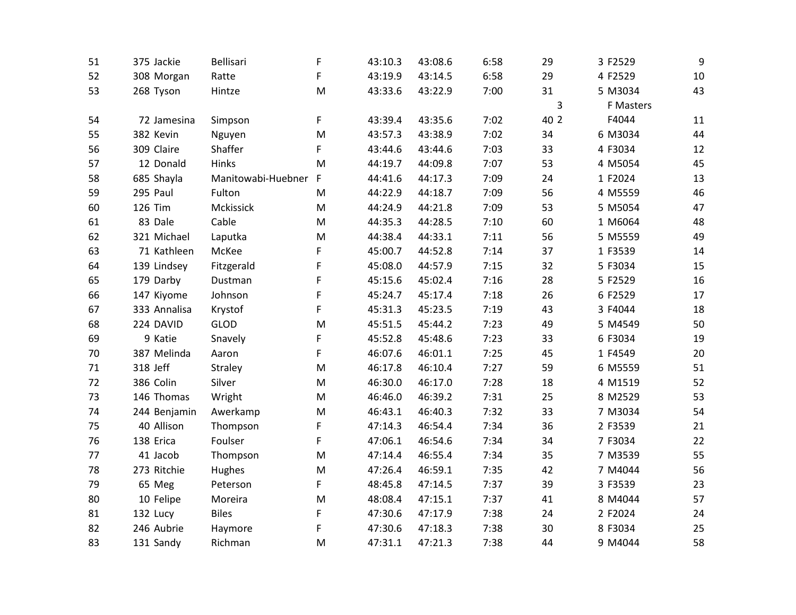| 51 | 375 Jackie   | Bellisari          | F            | 43:10.3 | 43:08.6 | 6:58 | 29   | 3 F2529   | 9  |
|----|--------------|--------------------|--------------|---------|---------|------|------|-----------|----|
| 52 | 308 Morgan   | Ratte              | F            | 43:19.9 | 43:14.5 | 6:58 | 29   | 4 F2529   | 10 |
| 53 | 268 Tyson    | Hintze             | M            | 43:33.6 | 43:22.9 | 7:00 | 31   | 5 M3034   | 43 |
|    |              |                    |              |         |         |      | 3    | F Masters |    |
| 54 | 72 Jamesina  | Simpson            | F            | 43:39.4 | 43:35.6 | 7:02 | 40 2 | F4044     | 11 |
| 55 | 382 Kevin    | Nguyen             | M            | 43:57.3 | 43:38.9 | 7:02 | 34   | 6 M3034   | 44 |
| 56 | 309 Claire   | Shaffer            | F            | 43:44.6 | 43:44.6 | 7:03 | 33   | 4 F3034   | 12 |
| 57 | 12 Donald    | Hinks              | M            | 44:19.7 | 44:09.8 | 7:07 | 53   | 4 M5054   | 45 |
| 58 | 685 Shayla   | Manitowabi-Huebner | $\mathsf{F}$ | 44:41.6 | 44:17.3 | 7:09 | 24   | 1 F2024   | 13 |
| 59 | 295 Paul     | Fulton             | M            | 44:22.9 | 44:18.7 | 7:09 | 56   | 4 M5559   | 46 |
| 60 | 126 Tim      | Mckissick          | M            | 44:24.9 | 44:21.8 | 7:09 | 53   | 5 M5054   | 47 |
| 61 | 83 Dale      | Cable              | M            | 44:35.3 | 44:28.5 | 7:10 | 60   | 1 M6064   | 48 |
| 62 | 321 Michael  | Laputka            | M            | 44:38.4 | 44:33.1 | 7:11 | 56   | 5 M5559   | 49 |
| 63 | 71 Kathleen  | McKee              | F            | 45:00.7 | 44:52.8 | 7:14 | 37   | 1 F3539   | 14 |
| 64 | 139 Lindsey  | Fitzgerald         | F            | 45:08.0 | 44:57.9 | 7:15 | 32   | 5 F3034   | 15 |
| 65 | 179 Darby    | Dustman            | F            | 45:15.6 | 45:02.4 | 7:16 | 28   | 5 F2529   | 16 |
| 66 | 147 Kiyome   | Johnson            | F            | 45:24.7 | 45:17.4 | 7:18 | 26   | 6 F2529   | 17 |
| 67 | 333 Annalisa | Krystof            | F            | 45:31.3 | 45:23.5 | 7:19 | 43   | 3 F4044   | 18 |
| 68 | 224 DAVID    | GLOD               | M            | 45:51.5 | 45:44.2 | 7:23 | 49   | 5 M4549   | 50 |
| 69 | 9 Katie      | Snavely            | F            | 45:52.8 | 45:48.6 | 7:23 | 33   | 6 F3034   | 19 |
| 70 | 387 Melinda  | Aaron              | F            | 46:07.6 | 46:01.1 | 7:25 | 45   | 1 F4549   | 20 |
| 71 | 318 Jeff     | Straley            | M            | 46:17.8 | 46:10.4 | 7:27 | 59   | 6 M5559   | 51 |
| 72 | 386 Colin    | Silver             | M            | 46:30.0 | 46:17.0 | 7:28 | 18   | 4 M1519   | 52 |
| 73 | 146 Thomas   | Wright             | M            | 46:46.0 | 46:39.2 | 7:31 | 25   | 8 M2529   | 53 |
| 74 | 244 Benjamin | Awerkamp           | M            | 46:43.1 | 46:40.3 | 7:32 | 33   | 7 M3034   | 54 |
| 75 | 40 Allison   | Thompson           | F            | 47:14.3 | 46:54.4 | 7:34 | 36   | 2 F3539   | 21 |
| 76 | 138 Erica    | Foulser            | F            | 47:06.1 | 46:54.6 | 7:34 | 34   | 7 F3034   | 22 |
| 77 | 41 Jacob     | Thompson           | M            | 47:14.4 | 46:55.4 | 7:34 | 35   | 7 M3539   | 55 |
| 78 | 273 Ritchie  | Hughes             | M            | 47:26.4 | 46:59.1 | 7:35 | 42   | 7 M4044   | 56 |
| 79 | 65 Meg       | Peterson           | F            | 48:45.8 | 47:14.5 | 7:37 | 39   | 3 F3539   | 23 |
| 80 | 10 Felipe    | Moreira            | M            | 48:08.4 | 47:15.1 | 7:37 | 41   | 8 M4044   | 57 |
| 81 | 132 Lucy     | <b>Biles</b>       | F            | 47:30.6 | 47:17.9 | 7:38 | 24   | 2 F2024   | 24 |
| 82 | 246 Aubrie   | Haymore            | F            | 47:30.6 | 47:18.3 | 7:38 | 30   | 8 F3034   | 25 |
| 83 | 131 Sandy    | Richman            | M            | 47:31.1 | 47:21.3 | 7:38 | 44   | 9 M4044   | 58 |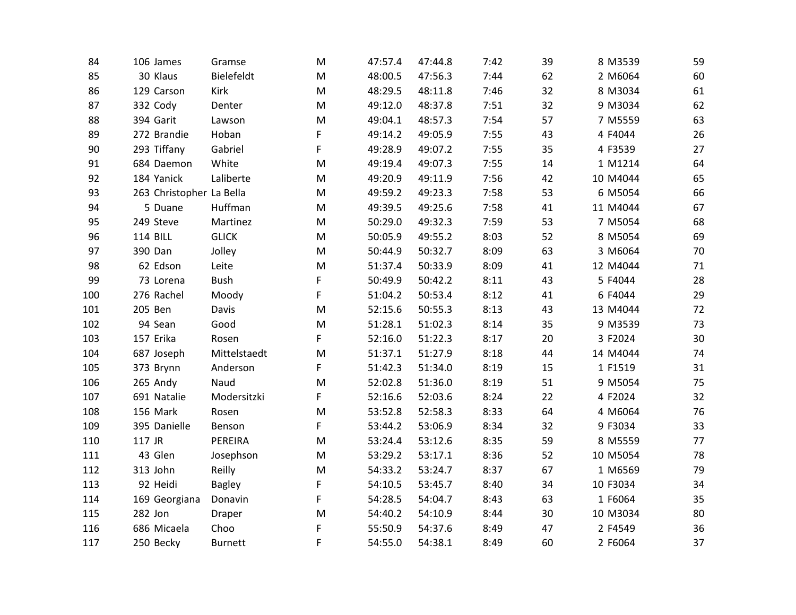| 84  | 106 James                | Gramse         | M | 47:57.4 | 47:44.8 | 7:42 | 39 | 8 M3539  | 59 |
|-----|--------------------------|----------------|---|---------|---------|------|----|----------|----|
| 85  | 30 Klaus                 | Bielefeldt     | M | 48:00.5 | 47:56.3 | 7:44 | 62 | 2 M6064  | 60 |
| 86  | 129 Carson               | Kirk           | M | 48:29.5 | 48:11.8 | 7:46 | 32 | 8 M3034  | 61 |
| 87  | 332 Cody                 | Denter         | M | 49:12.0 | 48:37.8 | 7:51 | 32 | 9 M3034  | 62 |
| 88  | 394 Garit                | Lawson         | M | 49:04.1 | 48:57.3 | 7:54 | 57 | 7 M5559  | 63 |
| 89  | 272 Brandie              | Hoban          | F | 49:14.2 | 49:05.9 | 7:55 | 43 | 4 F4044  | 26 |
| 90  | 293 Tiffany              | Gabriel        | F | 49:28.9 | 49:07.2 | 7:55 | 35 | 4 F3539  | 27 |
| 91  | 684 Daemon               | White          | M | 49:19.4 | 49:07.3 | 7:55 | 14 | 1 M1214  | 64 |
| 92  | 184 Yanick               | Laliberte      | M | 49:20.9 | 49:11.9 | 7:56 | 42 | 10 M4044 | 65 |
| 93  | 263 Christopher La Bella |                | M | 49:59.2 | 49:23.3 | 7:58 | 53 | 6 M5054  | 66 |
| 94  | 5 Duane                  | Huffman        | M | 49:39.5 | 49:25.6 | 7:58 | 41 | 11 M4044 | 67 |
| 95  | 249 Steve                | Martinez       | M | 50:29.0 | 49:32.3 | 7:59 | 53 | 7 M5054  | 68 |
| 96  | <b>114 BILL</b>          | <b>GLICK</b>   | M | 50:05.9 | 49:55.2 | 8:03 | 52 | 8 M5054  | 69 |
| 97  | 390 Dan                  | Jolley         | M | 50:44.9 | 50:32.7 | 8:09 | 63 | 3 M6064  | 70 |
| 98  | 62 Edson                 | Leite          | M | 51:37.4 | 50:33.9 | 8:09 | 41 | 12 M4044 | 71 |
| 99  | 73 Lorena                | Bush           | F | 50:49.9 | 50:42.2 | 8:11 | 43 | 5 F4044  | 28 |
| 100 | 276 Rachel               | Moody          | F | 51:04.2 | 50:53.4 | 8:12 | 41 | 6 F4044  | 29 |
| 101 | 205 Ben                  | Davis          | M | 52:15.6 | 50:55.3 | 8:13 | 43 | 13 M4044 | 72 |
| 102 | 94 Sean                  | Good           | M | 51:28.1 | 51:02.3 | 8:14 | 35 | 9 M3539  | 73 |
| 103 | 157 Erika                | Rosen          | F | 52:16.0 | 51:22.3 | 8:17 | 20 | 3 F2024  | 30 |
| 104 | 687 Joseph               | Mittelstaedt   | M | 51:37.1 | 51:27.9 | 8:18 | 44 | 14 M4044 | 74 |
| 105 | 373 Brynn                | Anderson       | F | 51:42.3 | 51:34.0 | 8:19 | 15 | 1 F1519  | 31 |
| 106 | 265 Andy                 | Naud           | M | 52:02.8 | 51:36.0 | 8:19 | 51 | 9 M5054  | 75 |
| 107 | 691 Natalie              | Modersitzki    | F | 52:16.6 | 52:03.6 | 8:24 | 22 | 4 F2024  | 32 |
| 108 | 156 Mark                 | Rosen          | M | 53:52.8 | 52:58.3 | 8:33 | 64 | 4 M6064  | 76 |
| 109 | 395 Danielle             | Benson         | F | 53:44.2 | 53:06.9 | 8:34 | 32 | 9 F3034  | 33 |
| 110 | 117 JR                   | PEREIRA        | M | 53:24.4 | 53:12.6 | 8:35 | 59 | 8 M5559  | 77 |
| 111 | 43 Glen                  | Josephson      | M | 53:29.2 | 53:17.1 | 8:36 | 52 | 10 M5054 | 78 |
| 112 | 313 John                 | Reilly         | M | 54:33.2 | 53:24.7 | 8:37 | 67 | 1 M6569  | 79 |
| 113 | 92 Heidi                 | <b>Bagley</b>  | F | 54:10.5 | 53:45.7 | 8:40 | 34 | 10 F3034 | 34 |
| 114 | 169 Georgiana            | Donavin        | F | 54:28.5 | 54:04.7 | 8:43 | 63 | 1 F6064  | 35 |
| 115 | 282 Jon                  | Draper         | M | 54:40.2 | 54:10.9 | 8:44 | 30 | 10 M3034 | 80 |
| 116 | 686 Micaela              | Choo           | F | 55:50.9 | 54:37.6 | 8:49 | 47 | 2 F4549  | 36 |
| 117 | 250 Becky                | <b>Burnett</b> | F | 54:55.0 | 54:38.1 | 8:49 | 60 | 2 F6064  | 37 |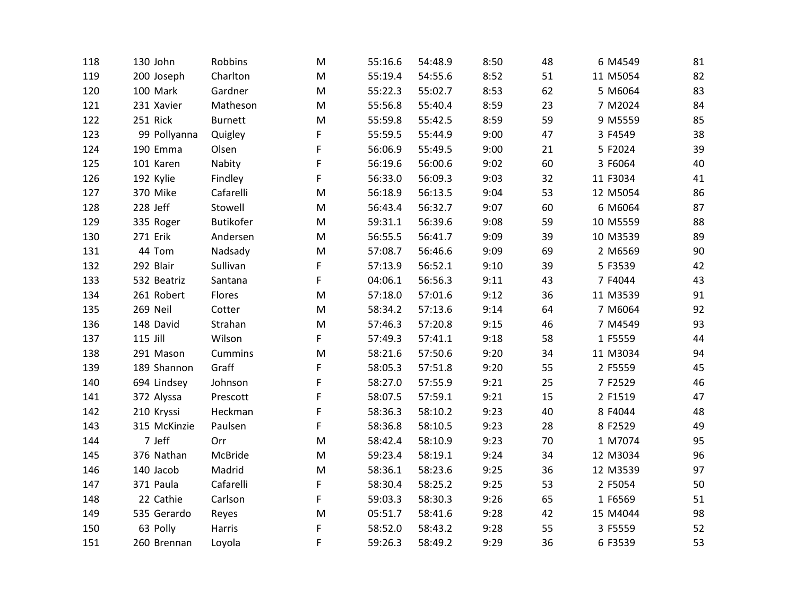| 118 | 130 John     | Robbins          | M         | 55:16.6 | 54:48.9 | 8:50 | 48 | 6 M4549  | 81 |
|-----|--------------|------------------|-----------|---------|---------|------|----|----------|----|
| 119 | 200 Joseph   | Charlton         | M         | 55:19.4 | 54:55.6 | 8:52 | 51 | 11 M5054 | 82 |
| 120 | 100 Mark     | Gardner          | M         | 55:22.3 | 55:02.7 | 8:53 | 62 | 5 M6064  | 83 |
| 121 | 231 Xavier   | Matheson         | M         | 55:56.8 | 55:40.4 | 8:59 | 23 | 7 M2024  | 84 |
| 122 | 251 Rick     | <b>Burnett</b>   | M         | 55:59.8 | 55:42.5 | 8:59 | 59 | 9 M5559  | 85 |
| 123 | 99 Pollyanna | Quigley          | F         | 55:59.5 | 55:44.9 | 9:00 | 47 | 3 F4549  | 38 |
| 124 | 190 Emma     | Olsen            | F         | 56:06.9 | 55:49.5 | 9:00 | 21 | 5 F2024  | 39 |
| 125 | 101 Karen    | Nabity           | F         | 56:19.6 | 56:00.6 | 9:02 | 60 | 3 F6064  | 40 |
| 126 | 192 Kylie    | Findley          | F         | 56:33.0 | 56:09.3 | 9:03 | 32 | 11 F3034 | 41 |
| 127 | 370 Mike     | Cafarelli        | ${\sf M}$ | 56:18.9 | 56:13.5 | 9:04 | 53 | 12 M5054 | 86 |
| 128 | 228 Jeff     | Stowell          | M         | 56:43.4 | 56:32.7 | 9:07 | 60 | 6 M6064  | 87 |
| 129 | 335 Roger    | <b>Butikofer</b> | ${\sf M}$ | 59:31.1 | 56:39.6 | 9:08 | 59 | 10 M5559 | 88 |
| 130 | 271 Erik     | Andersen         | M         | 56:55.5 | 56:41.7 | 9:09 | 39 | 10 M3539 | 89 |
| 131 | 44 Tom       | Nadsady          | M         | 57:08.7 | 56:46.6 | 9:09 | 69 | 2 M6569  | 90 |
| 132 | 292 Blair    | Sullivan         | F         | 57:13.9 | 56:52.1 | 9:10 | 39 | 5 F3539  | 42 |
| 133 | 532 Beatriz  | Santana          | F         | 04:06.1 | 56:56.3 | 9:11 | 43 | 7 F4044  | 43 |
| 134 | 261 Robert   | Flores           | M         | 57:18.0 | 57:01.6 | 9:12 | 36 | 11 M3539 | 91 |
| 135 | 269 Neil     | Cotter           | M         | 58:34.2 | 57:13.6 | 9:14 | 64 | 7 M6064  | 92 |
| 136 | 148 David    | Strahan          | M         | 57:46.3 | 57:20.8 | 9:15 | 46 | 7 M4549  | 93 |
| 137 | 115 Jill     | Wilson           | F         | 57:49.3 | 57:41.1 | 9:18 | 58 | 1 F5559  | 44 |
| 138 | 291 Mason    | Cummins          | M         | 58:21.6 | 57:50.6 | 9:20 | 34 | 11 M3034 | 94 |
| 139 | 189 Shannon  | Graff            | F         | 58:05.3 | 57:51.8 | 9:20 | 55 | 2 F5559  | 45 |
| 140 | 694 Lindsey  | Johnson          | F         | 58:27.0 | 57:55.9 | 9:21 | 25 | 7 F2529  | 46 |
| 141 | 372 Alyssa   | Prescott         | F         | 58:07.5 | 57:59.1 | 9:21 | 15 | 2 F1519  | 47 |
| 142 | 210 Kryssi   | Heckman          | F         | 58:36.3 | 58:10.2 | 9:23 | 40 | 8 F4044  | 48 |
| 143 | 315 McKinzie | Paulsen          | F         | 58:36.8 | 58:10.5 | 9:23 | 28 | 8 F2529  | 49 |
| 144 | 7 Jeff       | Orr              | M         | 58:42.4 | 58:10.9 | 9:23 | 70 | 1 M7074  | 95 |
| 145 | 376 Nathan   | McBride          | M         | 59:23.4 | 58:19.1 | 9:24 | 34 | 12 M3034 | 96 |
| 146 | 140 Jacob    | Madrid           | ${\sf M}$ | 58:36.1 | 58:23.6 | 9:25 | 36 | 12 M3539 | 97 |
| 147 | 371 Paula    | Cafarelli        | F         | 58:30.4 | 58:25.2 | 9:25 | 53 | 2 F5054  | 50 |
| 148 | 22 Cathie    | Carlson          | F         | 59:03.3 | 58:30.3 | 9:26 | 65 | 1 F6569  | 51 |
| 149 | 535 Gerardo  | Reyes            | M         | 05:51.7 | 58:41.6 | 9:28 | 42 | 15 M4044 | 98 |
| 150 | 63 Polly     | Harris           | F         | 58:52.0 | 58:43.2 | 9:28 | 55 | 3 F5559  | 52 |
| 151 | 260 Brennan  | Loyola           | F         | 59:26.3 | 58:49.2 | 9:29 | 36 | 6 F3539  | 53 |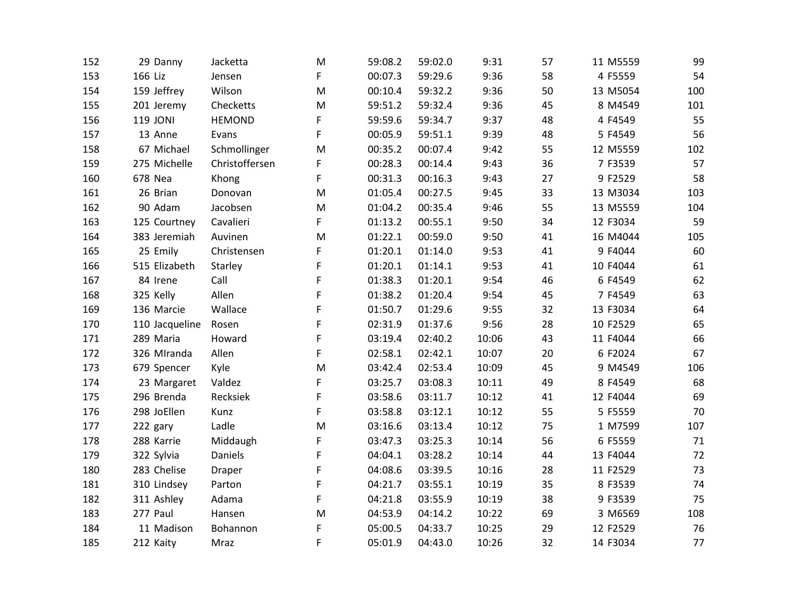| 152 | 29 Danny       | Jacketta       | M | 59:08.2 | 59:02.0 | 9:31  | 57 | 11 M5559 | 99  |
|-----|----------------|----------------|---|---------|---------|-------|----|----------|-----|
| 153 | 166 Liz        | Jensen         | F | 00:07.3 | 59:29.6 | 9:36  | 58 | 4 F5559  | 54  |
| 154 | 159 Jeffrey    | Wilson         | M | 00:10.4 | 59:32.2 | 9:36  | 50 | 13 M5054 | 100 |
| 155 | 201 Jeremy     | Checketts      | M | 59:51.2 | 59:32.4 | 9:36  | 45 | 8 M4549  | 101 |
| 156 | 119 JONI       | <b>HEMOND</b>  | F | 59:59.6 | 59:34.7 | 9:37  | 48 | 4 F4549  | 55  |
| 157 | 13 Anne        | Evans          | F | 00:05.9 | 59:51.1 | 9:39  | 48 | 5 F4549  | 56  |
| 158 | 67 Michael     | Schmollinger   | M | 00:35.2 | 00:07.4 | 9:42  | 55 | 12 M5559 | 102 |
| 159 | 275 Michelle   | Christoffersen | F | 00:28.3 | 00:14.4 | 9:43  | 36 | 7 F3539  | 57  |
| 160 | 678 Nea        | Khong          | F | 00:31.3 | 00:16.3 | 9:43  | 27 | 9 F2529  | 58  |
| 161 | 26 Brian       | Donovan        | M | 01:05.4 | 00:27.5 | 9:45  | 33 | 13 M3034 | 103 |
| 162 | 90 Adam        | Jacobsen       | M | 01:04.2 | 00:35.4 | 9:46  | 55 | 13 M5559 | 104 |
| 163 | 125 Courtney   | Cavalieri      | F | 01:13.2 | 00:55.1 | 9:50  | 34 | 12 F3034 | 59  |
| 164 | 383 Jeremiah   | Auvinen        | M | 01:22.1 | 00:59.0 | 9:50  | 41 | 16 M4044 | 105 |
| 165 | 25 Emily       | Christensen    | F | 01:20.1 | 01:14.0 | 9:53  | 41 | 9 F4044  | 60  |
| 166 | 515 Elizabeth  | Starley        | F | 01:20.1 | 01:14.1 | 9:53  | 41 | 10 F4044 | 61  |
| 167 | 84 Irene       | Call           | F | 01:38.3 | 01:20.1 | 9:54  | 46 | 6 F4549  | 62  |
| 168 | 325 Kelly      | Allen          | F | 01:38.2 | 01:20.4 | 9:54  | 45 | 7 F4549  | 63  |
| 169 | 136 Marcie     | Wallace        | F | 01:50.7 | 01:29.6 | 9:55  | 32 | 13 F3034 | 64  |
| 170 | 110 Jacqueline | Rosen          | F | 02:31.9 | 01:37.6 | 9:56  | 28 | 10 F2529 | 65  |
| 171 | 289 Maria      | Howard         | F | 03:19.4 | 02:40.2 | 10:06 | 43 | 11 F4044 | 66  |
| 172 | 326 MIranda    | Allen          | F | 02:58.1 | 02:42.1 | 10:07 | 20 | 6 F2024  | 67  |
| 173 | 679 Spencer    | Kyle           | M | 03:42.4 | 02:53.4 | 10:09 | 45 | 9 M4549  | 106 |
| 174 | 23 Margaret    | Valdez         | F | 03:25.7 | 03:08.3 | 10:11 | 49 | 8 F4549  | 68  |
| 175 | 296 Brenda     | Recksiek       | F | 03:58.6 | 03:11.7 | 10:12 | 41 | 12 F4044 | 69  |
| 176 | 298 JoEllen    | Kunz           | F | 03:58.8 | 03:12.1 | 10:12 | 55 | 5 F5559  | 70  |
| 177 | 222 gary       | Ladle          | M | 03:16.6 | 03:13.4 | 10:12 | 75 | 1 M7599  | 107 |
| 178 | 288 Karrie     | Middaugh       | F | 03:47.3 | 03:25.3 | 10:14 | 56 | 6 F5559  | 71  |
| 179 | 322 Sylvia     | Daniels        | F | 04:04.1 | 03:28.2 | 10:14 | 44 | 13 F4044 | 72  |
| 180 | 283 Chelise    | Draper         | F | 04:08.6 | 03:39.5 | 10:16 | 28 | 11 F2529 | 73  |
| 181 | 310 Lindsey    | Parton         | F | 04:21.7 | 03:55.1 | 10:19 | 35 | 8 F3539  | 74  |
| 182 | 311 Ashley     | Adama          | F | 04:21.8 | 03:55.9 | 10:19 | 38 | 9 F3539  | 75  |
| 183 | 277 Paul       | Hansen         | M | 04:53.9 | 04:14.2 | 10:22 | 69 | 3 M6569  | 108 |
| 184 | 11 Madison     | Bohannon       | F | 05:00.5 | 04:33.7 | 10:25 | 29 | 12 F2529 | 76  |
| 185 | 212 Kaity      | Mraz           | F | 05:01.9 | 04:43.0 | 10:26 | 32 | 14 F3034 | 77  |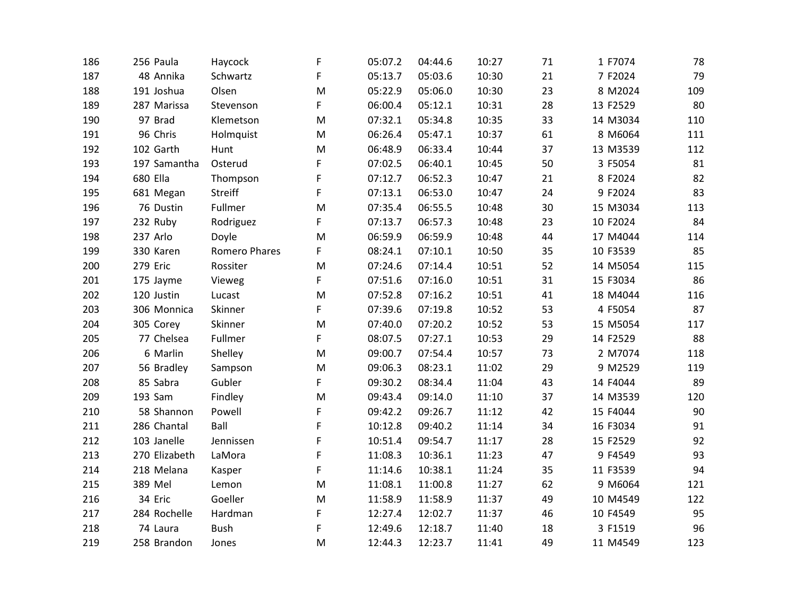| 186 | 256 Paula     | Haycock              | F | 05:07.2 | 04:44.6 | 10:27 | 71 | 1 F7074  | 78  |
|-----|---------------|----------------------|---|---------|---------|-------|----|----------|-----|
| 187 | 48 Annika     | Schwartz             | F | 05:13.7 | 05:03.6 | 10:30 | 21 | 7 F2024  | 79  |
| 188 | 191 Joshua    | Olsen                | M | 05:22.9 | 05:06.0 | 10:30 | 23 | 8 M2024  | 109 |
| 189 | 287 Marissa   | Stevenson            | F | 06:00.4 | 05:12.1 | 10:31 | 28 | 13 F2529 | 80  |
| 190 | 97 Brad       | Klemetson            | M | 07:32.1 | 05:34.8 | 10:35 | 33 | 14 M3034 | 110 |
| 191 | 96 Chris      | Holmquist            | M | 06:26.4 | 05:47.1 | 10:37 | 61 | 8 M6064  | 111 |
| 192 | 102 Garth     | Hunt                 | M | 06:48.9 | 06:33.4 | 10:44 | 37 | 13 M3539 | 112 |
| 193 | 197 Samantha  | Osterud              | F | 07:02.5 | 06:40.1 | 10:45 | 50 | 3 F5054  | 81  |
| 194 | 680 Ella      | Thompson             | F | 07:12.7 | 06:52.3 | 10:47 | 21 | 8 F2024  | 82  |
| 195 | 681 Megan     | <b>Streiff</b>       | F | 07:13.1 | 06:53.0 | 10:47 | 24 | 9 F2024  | 83  |
| 196 | 76 Dustin     | Fullmer              | M | 07:35.4 | 06:55.5 | 10:48 | 30 | 15 M3034 | 113 |
| 197 | 232 Ruby      | Rodriguez            | F | 07:13.7 | 06:57.3 | 10:48 | 23 | 10 F2024 | 84  |
| 198 | 237 Arlo      | Doyle                | M | 06:59.9 | 06:59.9 | 10:48 | 44 | 17 M4044 | 114 |
| 199 | 330 Karen     | <b>Romero Phares</b> | F | 08:24.1 | 07:10.1 | 10:50 | 35 | 10 F3539 | 85  |
| 200 | 279 Eric      | Rossiter             | M | 07:24.6 | 07:14.4 | 10:51 | 52 | 14 M5054 | 115 |
| 201 | 175 Jayme     | Vieweg               | F | 07:51.6 | 07:16.0 | 10:51 | 31 | 15 F3034 | 86  |
| 202 | 120 Justin    | Lucast               | M | 07:52.8 | 07:16.2 | 10:51 | 41 | 18 M4044 | 116 |
| 203 | 306 Monnica   | Skinner              | F | 07:39.6 | 07:19.8 | 10:52 | 53 | 4 F5054  | 87  |
| 204 | 305 Corey     | Skinner              | M | 07:40.0 | 07:20.2 | 10:52 | 53 | 15 M5054 | 117 |
| 205 | 77 Chelsea    | Fullmer              | F | 08:07.5 | 07:27.1 | 10:53 | 29 | 14 F2529 | 88  |
| 206 | 6 Marlin      | Shelley              | M | 09:00.7 | 07:54.4 | 10:57 | 73 | 2 M7074  | 118 |
| 207 | 56 Bradley    | Sampson              | M | 09:06.3 | 08:23.1 | 11:02 | 29 | 9 M2529  | 119 |
| 208 | 85 Sabra      | Gubler               | F | 09:30.2 | 08:34.4 | 11:04 | 43 | 14 F4044 | 89  |
| 209 | 193 Sam       | Findley              | M | 09:43.4 | 09:14.0 | 11:10 | 37 | 14 M3539 | 120 |
| 210 | 58 Shannon    | Powell               | F | 09:42.2 | 09:26.7 | 11:12 | 42 | 15 F4044 | 90  |
| 211 | 286 Chantal   | Ball                 | F | 10:12.8 | 09:40.2 | 11:14 | 34 | 16 F3034 | 91  |
| 212 | 103 Janelle   | Jennissen            | F | 10:51.4 | 09:54.7 | 11:17 | 28 | 15 F2529 | 92  |
| 213 | 270 Elizabeth | LaMora               | F | 11:08.3 | 10:36.1 | 11:23 | 47 | 9 F4549  | 93  |
| 214 | 218 Melana    | Kasper               | F | 11:14.6 | 10:38.1 | 11:24 | 35 | 11 F3539 | 94  |
| 215 | 389 Mel       | Lemon                | M | 11:08.1 | 11:00.8 | 11:27 | 62 | 9 M6064  | 121 |
| 216 | 34 Eric       | Goeller              | M | 11:58.9 | 11:58.9 | 11:37 | 49 | 10 M4549 | 122 |
| 217 | 284 Rochelle  | Hardman              | F | 12:27.4 | 12:02.7 | 11:37 | 46 | 10 F4549 | 95  |
| 218 | 74 Laura      | <b>Bush</b>          | F | 12:49.6 | 12:18.7 | 11:40 | 18 | 3 F1519  | 96  |
| 219 | 258 Brandon   | Jones                | M | 12:44.3 | 12:23.7 | 11:41 | 49 | 11 M4549 | 123 |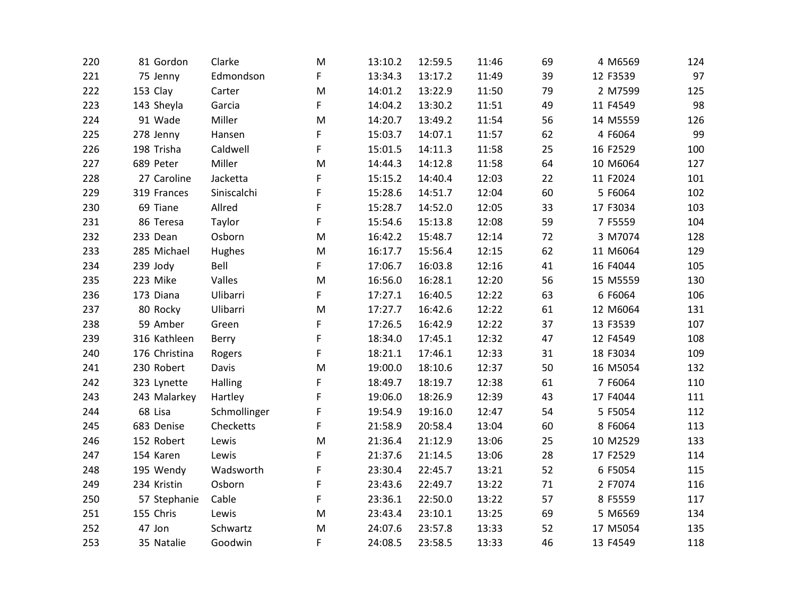| 220 | 81 Gordon     | Clarke       | M           | 13:10.2 | 12:59.5 | 11:46 | 69 | 4 M6569  | 124 |
|-----|---------------|--------------|-------------|---------|---------|-------|----|----------|-----|
| 221 | 75 Jenny      | Edmondson    | F           | 13:34.3 | 13:17.2 | 11:49 | 39 | 12 F3539 | 97  |
| 222 | 153 Clay      | Carter       | M           | 14:01.2 | 13:22.9 | 11:50 | 79 | 2 M7599  | 125 |
| 223 | 143 Sheyla    | Garcia       | F           | 14:04.2 | 13:30.2 | 11:51 | 49 | 11 F4549 | 98  |
| 224 | 91 Wade       | Miller       | M           | 14:20.7 | 13:49.2 | 11:54 | 56 | 14 M5559 | 126 |
| 225 | 278 Jenny     | Hansen       | F           | 15:03.7 | 14:07.1 | 11:57 | 62 | 4 F6064  | 99  |
| 226 | 198 Trisha    | Caldwell     | F           | 15:01.5 | 14:11.3 | 11:58 | 25 | 16 F2529 | 100 |
| 227 | 689 Peter     | Miller       | M           | 14:44.3 | 14:12.8 | 11:58 | 64 | 10 M6064 | 127 |
| 228 | 27 Caroline   | Jacketta     | F           | 15:15.2 | 14:40.4 | 12:03 | 22 | 11 F2024 | 101 |
| 229 | 319 Frances   | Siniscalchi  | F           | 15:28.6 | 14:51.7 | 12:04 | 60 | 5 F6064  | 102 |
| 230 | 69 Tiane      | Allred       | $\mathsf F$ | 15:28.7 | 14:52.0 | 12:05 | 33 | 17 F3034 | 103 |
| 231 | 86 Teresa     | Taylor       | F           | 15:54.6 | 15:13.8 | 12:08 | 59 | 7 F5559  | 104 |
| 232 | 233 Dean      | Osborn       | M           | 16:42.2 | 15:48.7 | 12:14 | 72 | 3 M7074  | 128 |
| 233 | 285 Michael   | Hughes       | M           | 16:17.7 | 15:56.4 | 12:15 | 62 | 11 M6064 | 129 |
| 234 | 239 Jody      | Bell         | F           | 17:06.7 | 16:03.8 | 12:16 | 41 | 16 F4044 | 105 |
| 235 | 223 Mike      | Valles       | ${\sf M}$   | 16:56.0 | 16:28.1 | 12:20 | 56 | 15 M5559 | 130 |
| 236 | 173 Diana     | Ulibarri     | F           | 17:27.1 | 16:40.5 | 12:22 | 63 | 6 F6064  | 106 |
| 237 | 80 Rocky      | Ulibarri     | M           | 17:27.7 | 16:42.6 | 12:22 | 61 | 12 M6064 | 131 |
| 238 | 59 Amber      | Green        | F           | 17:26.5 | 16:42.9 | 12:22 | 37 | 13 F3539 | 107 |
| 239 | 316 Kathleen  | Berry        | F           | 18:34.0 | 17:45.1 | 12:32 | 47 | 12 F4549 | 108 |
| 240 | 176 Christina | Rogers       | F           | 18:21.1 | 17:46.1 | 12:33 | 31 | 18 F3034 | 109 |
| 241 | 230 Robert    | Davis        | M           | 19:00.0 | 18:10.6 | 12:37 | 50 | 16 M5054 | 132 |
| 242 | 323 Lynette   | Halling      | F           | 18:49.7 | 18:19.7 | 12:38 | 61 | 7 F6064  | 110 |
| 243 | 243 Malarkey  | Hartley      | F           | 19:06.0 | 18:26.9 | 12:39 | 43 | 17 F4044 | 111 |
| 244 | 68 Lisa       | Schmollinger | F           | 19:54.9 | 19:16.0 | 12:47 | 54 | 5 F5054  | 112 |
| 245 | 683 Denise    | Checketts    | F           | 21:58.9 | 20:58.4 | 13:04 | 60 | 8 F6064  | 113 |
| 246 | 152 Robert    | Lewis        | M           | 21:36.4 | 21:12.9 | 13:06 | 25 | 10 M2529 | 133 |
| 247 | 154 Karen     | Lewis        | F           | 21:37.6 | 21:14.5 | 13:06 | 28 | 17 F2529 | 114 |
| 248 | 195 Wendy     | Wadsworth    | F           | 23:30.4 | 22:45.7 | 13:21 | 52 | 6 F5054  | 115 |
| 249 | 234 Kristin   | Osborn       | F           | 23:43.6 | 22:49.7 | 13:22 | 71 | 2 F7074  | 116 |
| 250 | 57 Stephanie  | Cable        | F           | 23:36.1 | 22:50.0 | 13:22 | 57 | 8 F5559  | 117 |
| 251 | 155 Chris     | Lewis        | M           | 23:43.4 | 23:10.1 | 13:25 | 69 | 5 M6569  | 134 |
| 252 | 47 Jon        | Schwartz     | M           | 24:07.6 | 23:57.8 | 13:33 | 52 | 17 M5054 | 135 |
| 253 | 35 Natalie    | Goodwin      | F           | 24:08.5 | 23:58.5 | 13:33 | 46 | 13 F4549 | 118 |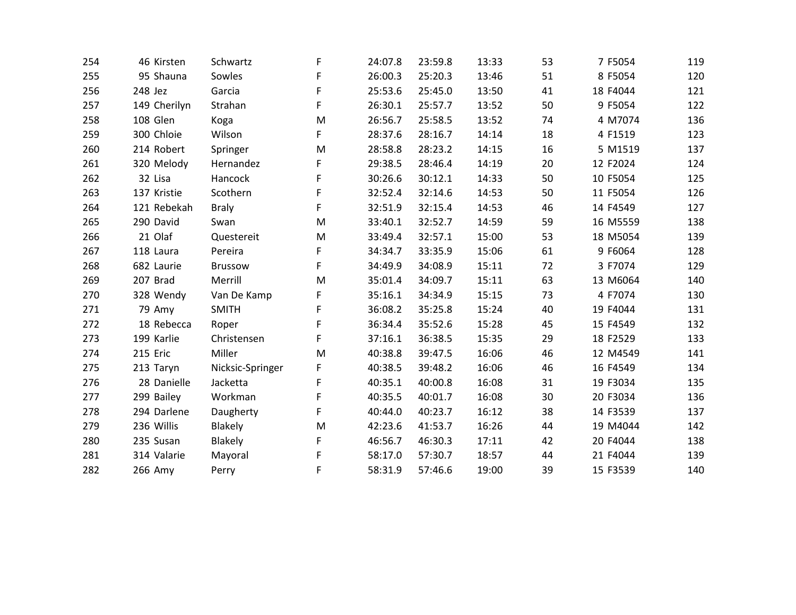| 254 | 46 Kirsten   | Schwartz         | F | 24:07.8 | 23:59.8 | 13:33 | 53 | 7 F5054  | 119 |
|-----|--------------|------------------|---|---------|---------|-------|----|----------|-----|
| 255 | 95 Shauna    | Sowles           | F | 26:00.3 | 25:20.3 | 13:46 | 51 | 8 F5054  | 120 |
| 256 | 248 Jez      | Garcia           | F | 25:53.6 | 25:45.0 | 13:50 | 41 | 18 F4044 | 121 |
| 257 | 149 Cherilyn | Strahan          | F | 26:30.1 | 25:57.7 | 13:52 | 50 | 9 F5054  | 122 |
| 258 | 108 Glen     | Koga             | M | 26:56.7 | 25:58.5 | 13:52 | 74 | 4 M7074  | 136 |
| 259 | 300 Chloie   | Wilson           | F | 28:37.6 | 28:16.7 | 14:14 | 18 | 4 F1519  | 123 |
| 260 | 214 Robert   | Springer         | M | 28:58.8 | 28:23.2 | 14:15 | 16 | 5 M1519  | 137 |
| 261 | 320 Melody   | Hernandez        | F | 29:38.5 | 28:46.4 | 14:19 | 20 | 12 F2024 | 124 |
| 262 | 32 Lisa      | Hancock          | F | 30:26.6 | 30:12.1 | 14:33 | 50 | 10 F5054 | 125 |
| 263 | 137 Kristie  | Scothern         | F | 32:52.4 | 32:14.6 | 14:53 | 50 | 11 F5054 | 126 |
| 264 | 121 Rebekah  | <b>Braly</b>     | F | 32:51.9 | 32:15.4 | 14:53 | 46 | 14 F4549 | 127 |
| 265 | 290 David    | Swan             | M | 33:40.1 | 32:52.7 | 14:59 | 59 | 16 M5559 | 138 |
| 266 | 21 Olaf      | Questereit       | M | 33:49.4 | 32:57.1 | 15:00 | 53 | 18 M5054 | 139 |
| 267 | 118 Laura    | Pereira          | F | 34:34.7 | 33:35.9 | 15:06 | 61 | 9 F6064  | 128 |
| 268 | 682 Laurie   | <b>Brussow</b>   | F | 34:49.9 | 34:08.9 | 15:11 | 72 | 3 F7074  | 129 |
| 269 | 207 Brad     | Merrill          | M | 35:01.4 | 34:09.7 | 15:11 | 63 | 13 M6064 | 140 |
| 270 | 328 Wendy    | Van De Kamp      | F | 35:16.1 | 34:34.9 | 15:15 | 73 | 4 F7074  | 130 |
| 271 | 79 Amy       | <b>SMITH</b>     | F | 36:08.2 | 35:25.8 | 15:24 | 40 | 19 F4044 | 131 |
| 272 | 18 Rebecca   | Roper            | F | 36:34.4 | 35:52.6 | 15:28 | 45 | 15 F4549 | 132 |
| 273 | 199 Karlie   | Christensen      | F | 37:16.1 | 36:38.5 | 15:35 | 29 | 18 F2529 | 133 |
| 274 | 215 Eric     | Miller           | M | 40:38.8 | 39:47.5 | 16:06 | 46 | 12 M4549 | 141 |
| 275 | 213 Taryn    | Nicksic-Springer | F | 40:38.5 | 39:48.2 | 16:06 | 46 | 16 F4549 | 134 |
| 276 | 28 Danielle  | Jacketta         | F | 40:35.1 | 40:00.8 | 16:08 | 31 | 19 F3034 | 135 |
| 277 | 299 Bailey   | Workman          | F | 40:35.5 | 40:01.7 | 16:08 | 30 | 20 F3034 | 136 |
| 278 | 294 Darlene  | Daugherty        | F | 40:44.0 | 40:23.7 | 16:12 | 38 | 14 F3539 | 137 |
| 279 | 236 Willis   | <b>Blakely</b>   | M | 42:23.6 | 41:53.7 | 16:26 | 44 | 19 M4044 | 142 |
| 280 | 235 Susan    | Blakely          | F | 46:56.7 | 46:30.3 | 17:11 | 42 | 20 F4044 | 138 |
| 281 | 314 Valarie  | Mayoral          | F | 58:17.0 | 57:30.7 | 18:57 | 44 | 21 F4044 | 139 |
| 282 | 266 Amy      | Perry            | F | 58:31.9 | 57:46.6 | 19:00 | 39 | 15 F3539 | 140 |